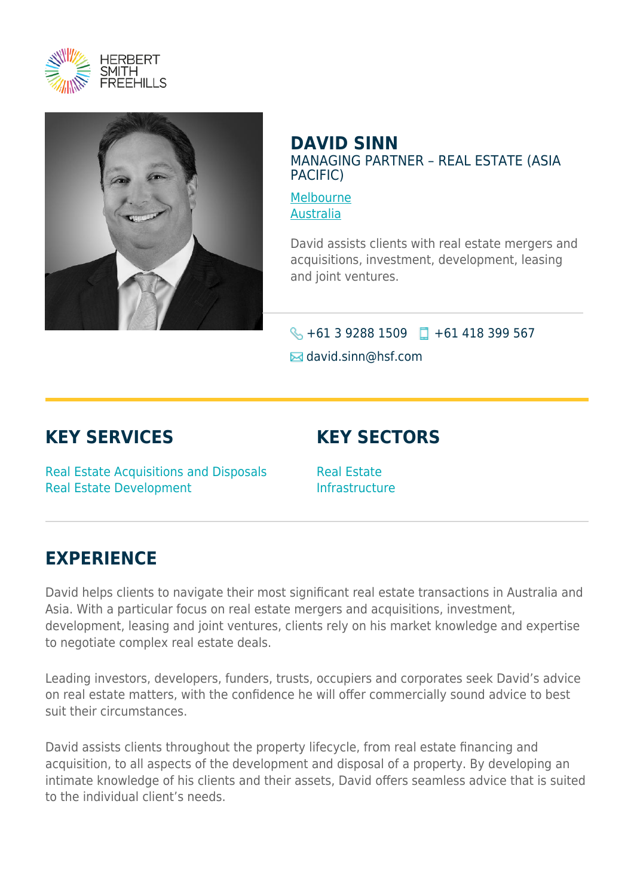



#### **DAVID SINN** MANAGING PARTNER – REAL ESTATE (ASIA PACIFIC)

[Melbourne](https://www.herbertsmithfreehills.com/lang-es/where-we-work/melbourne) [Australia](https://www.herbertsmithfreehills.com/lang-es/where-we-work/australia)

David assists clients with real estate mergers and acquisitions, investment, development, leasing and joint ventures.

### $\bigotimes$  +61 3 9288 1509  $\Box$  +61 418 399 567

 $\boxtimes$  david.sinn@hsf.com

## **KEY SERVICES**

# **KEY SECTORS**

Real Estate Acquisitions and Disposals Real Estate Development

Real Estate Infrastructure

### **EXPERIENCE**

David helps clients to navigate their most significant real estate transactions in Australia and Asia. With a particular focus on real estate mergers and acquisitions, investment, development, leasing and joint ventures, clients rely on his market knowledge and expertise to negotiate complex real estate deals.

Leading investors, developers, funders, trusts, occupiers and corporates seek David's advice on real estate matters, with the confidence he will offer commercially sound advice to best suit their circumstances.

David assists clients throughout the property lifecycle, from real estate financing and acquisition, to all aspects of the development and disposal of a property. By developing an intimate knowledge of his clients and their assets, David offers seamless advice that is suited to the individual client's needs.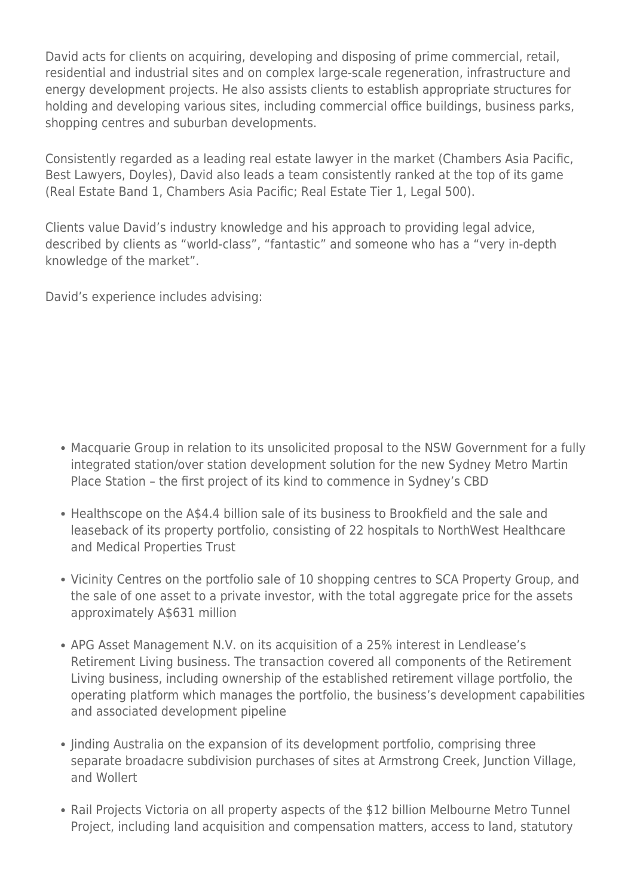David acts for clients on acquiring, developing and disposing of prime commercial, retail, residential and industrial sites and on complex large-scale regeneration, infrastructure and energy development projects. He also assists clients to establish appropriate structures for holding and developing various sites, including commercial office buildings, business parks, shopping centres and suburban developments.

Consistently regarded as a leading real estate lawyer in the market (Chambers Asia Pacific, Best Lawyers, Doyles), David also leads a team consistently ranked at the top of its game (Real Estate Band 1, Chambers Asia Pacific; Real Estate Tier 1, Legal 500).

Clients value David's industry knowledge and his approach to providing legal advice, described by clients as "world-class", "fantastic" and someone who has a "very in-depth knowledge of the market".

David's experience includes advising:

- Macquarie Group in relation to its unsolicited proposal to the NSW Government for a fully integrated station/over station development solution for the new Sydney Metro Martin Place Station – the first project of its kind to commence in Sydney's CBD
- Healthscope on the A\$4.4 billion sale of its business to Brookfield and the sale and leaseback of its property portfolio, consisting of 22 hospitals to NorthWest Healthcare and Medical Properties Trust
- Vicinity Centres on the portfolio sale of 10 shopping centres to SCA Property Group, and the sale of one asset to a private investor, with the total aggregate price for the assets approximately A\$631 million
- APG Asset Management N.V. on its acquisition of a 25% interest in Lendlease's Retirement Living business. The transaction covered all components of the Retirement Living business, including ownership of the established retirement village portfolio, the operating platform which manages the portfolio, the business's development capabilities and associated development pipeline
- linding Australia on the expansion of its development portfolio, comprising three separate broadacre subdivision purchases of sites at Armstrong Creek, Junction Village, and Wollert
- Rail Projects Victoria on all property aspects of the \$12 billion Melbourne Metro Tunnel Project, including land acquisition and compensation matters, access to land, statutory